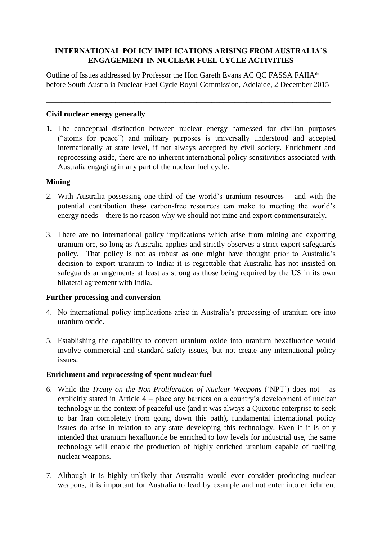# **INTERNATIONAL POLICY IMPLICATIONS ARISING FROM AUSTRALIA'S ENGAGEMENT IN NUCLEAR FUEL CYCLE ACTIVITIES**

Outline of Issues addressed by Professor the Hon Gareth Evans AC QC FASSA FAIIA\* before South Australia Nuclear Fuel Cycle Royal Commission, Adelaide, 2 December 2015

\_\_\_\_\_\_\_\_\_\_\_\_\_\_\_\_\_\_\_\_\_\_\_\_\_\_\_\_\_\_\_\_\_\_\_\_\_\_\_\_\_\_\_\_\_\_\_\_\_\_\_\_\_\_\_\_\_\_\_\_\_\_\_\_\_\_\_\_\_\_\_\_\_\_

# **Civil nuclear energy generally**

**1.** The conceptual distinction between nuclear energy harnessed for civilian purposes ("atoms for peace") and military purposes is universally understood and accepted internationally at state level, if not always accepted by civil society. Enrichment and reprocessing aside, there are no inherent international policy sensitivities associated with Australia engaging in any part of the nuclear fuel cycle.

### **Mining**

- 2. With Australia possessing one-third of the world"s uranium resources and with the potential contribution these carbon-free resources can make to meeting the world"s energy needs – there is no reason why we should not mine and export commensurately.
- 3. There are no international policy implications which arise from mining and exporting uranium ore, so long as Australia applies and strictly observes a strict export safeguards policy. That policy is not as robust as one might have thought prior to Australia"s decision to export uranium to India: it is regrettable that Australia has not insisted on safeguards arrangements at least as strong as those being required by the US in its own bilateral agreement with India.

#### **Further processing and conversion**

- 4. No international policy implications arise in Australia"s processing of uranium ore into uranium oxide.
- 5. Establishing the capability to convert uranium oxide into uranium hexafluoride would involve commercial and standard safety issues, but not create any international policy issues.

# **Enrichment and reprocessing of spent nuclear fuel**

- 6. While the *Treaty on the Non-Proliferation of Nuclear Weapons* ("NPT") does not as explicitly stated in Article 4 – place any barriers on a country"s development of nuclear technology in the context of peaceful use (and it was always a Quixotic enterprise to seek to bar Iran completely from going down this path), fundamental international policy issues do arise in relation to any state developing this technology. Even if it is only intended that uranium hexafluoride be enriched to low levels for industrial use, the same technology will enable the production of highly enriched uranium capable of fuelling nuclear weapons.
- 7. Although it is highly unlikely that Australia would ever consider producing nuclear weapons, it is important for Australia to lead by example and not enter into enrichment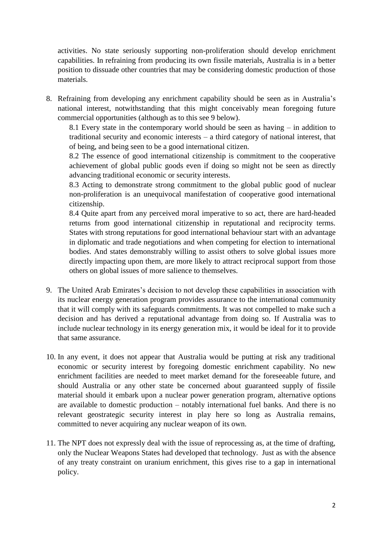activities. No state seriously supporting non-proliferation should develop enrichment capabilities. In refraining from producing its own fissile materials, Australia is in a better position to dissuade other countries that may be considering domestic production of those materials.

8. Refraining from developing any enrichment capability should be seen as in Australia"s national interest, notwithstanding that this might conceivably mean foregoing future commercial opportunities (although as to this see 9 below).

8.1 Every state in the contemporary world should be seen as having – in addition to traditional security and economic interests – a third category of national interest, that of being, and being seen to be a good international citizen.

8.2 The essence of good international citizenship is commitment to the cooperative achievement of global public goods even if doing so might not be seen as directly advancing traditional economic or security interests.

8.3 Acting to demonstrate strong commitment to the global public good of nuclear non-proliferation is an unequivocal manifestation of cooperative good international citizenship.

8.4 Quite apart from any perceived moral imperative to so act, there are hard-headed returns from good international citizenship in reputational and reciprocity terms. States with strong reputations for good international behaviour start with an advantage in diplomatic and trade negotiations and when competing for election to international bodies. And states demonstrably willing to assist others to solve global issues more directly impacting upon them, are more likely to attract reciprocal support from those others on global issues of more salience to themselves.

- 9. The United Arab Emirates"s decision to not develop these capabilities in association with its nuclear energy generation program provides assurance to the international community that it will comply with its safeguards commitments. It was not compelled to make such a decision and has derived a reputational advantage from doing so. If Australia was to include nuclear technology in its energy generation mix, it would be ideal for it to provide that same assurance.
- 10. In any event, it does not appear that Australia would be putting at risk any traditional economic or security interest by foregoing domestic enrichment capability. No new enrichment facilities are needed to meet market demand for the foreseeable future, and should Australia or any other state be concerned about guaranteed supply of fissile material should it embark upon a nuclear power generation program, alternative options are available to domestic production – notably international fuel banks. And there is no relevant geostrategic security interest in play here so long as Australia remains, committed to never acquiring any nuclear weapon of its own.
- 11. The NPT does not expressly deal with the issue of reprocessing as, at the time of drafting, only the Nuclear Weapons States had developed that technology. Just as with the absence of any treaty constraint on uranium enrichment, this gives rise to a gap in international policy.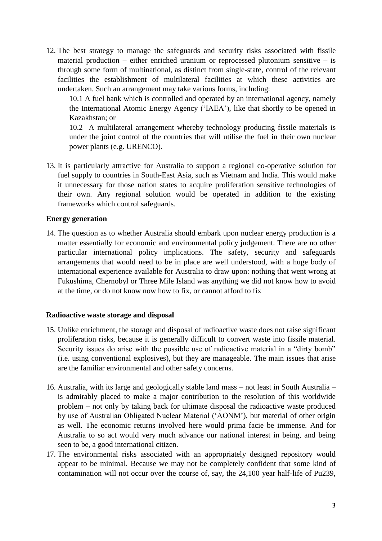12. The best strategy to manage the safeguards and security risks associated with fissile material production – either enriched uranium or reprocessed plutonium sensitive – is through some form of multinational, as distinct from single-state, control of the relevant facilities the establishment of multilateral facilities at which these activities are undertaken. Such an arrangement may take various forms, including:

10.1 A fuel bank which is controlled and operated by an international agency, namely the International Atomic Energy Agency ("IAEA"), like that shortly to be opened in Kazakhstan; or

10.2 A multilateral arrangement whereby technology producing fissile materials is under the joint control of the countries that will utilise the fuel in their own nuclear power plants (e.g. URENCO).

13. It is particularly attractive for Australia to support a regional co-operative solution for fuel supply to countries in South-East Asia, such as Vietnam and India. This would make it unnecessary for those nation states to acquire proliferation sensitive technologies of their own. Any regional solution would be operated in addition to the existing frameworks which control safeguards.

### **Energy generation**

14. The question as to whether Australia should embark upon nuclear energy production is a matter essentially for economic and environmental policy judgement. There are no other particular international policy implications. The safety, security and safeguards arrangements that would need to be in place are well understood, with a huge body of international experience available for Australia to draw upon: nothing that went wrong at Fukushima, Chernobyl or Three Mile Island was anything we did not know how to avoid at the time, or do not know now how to fix, or cannot afford to fix

#### **Radioactive waste storage and disposal**

- 15. Unlike enrichment, the storage and disposal of radioactive waste does not raise significant proliferation risks, because it is generally difficult to convert waste into fissile material. Security issues do arise with the possible use of radioactive material in a "dirty bomb" (i.e. using conventional explosives), but they are manageable. The main issues that arise are the familiar environmental and other safety concerns.
- 16. Australia, with its large and geologically stable land mass not least in South Australia is admirably placed to make a major contribution to the resolution of this worldwide problem – not only by taking back for ultimate disposal the radioactive waste produced by use of Australian Obligated Nuclear Material ("AONM"), but material of other origin as well. The economic returns involved here would prima facie be immense. And for Australia to so act would very much advance our national interest in being, and being seen to be, a good international citizen.
- 17. The environmental risks associated with an appropriately designed repository would appear to be minimal. Because we may not be completely confident that some kind of contamination will not occur over the course of, say, the 24,100 year half-life of Pu239,